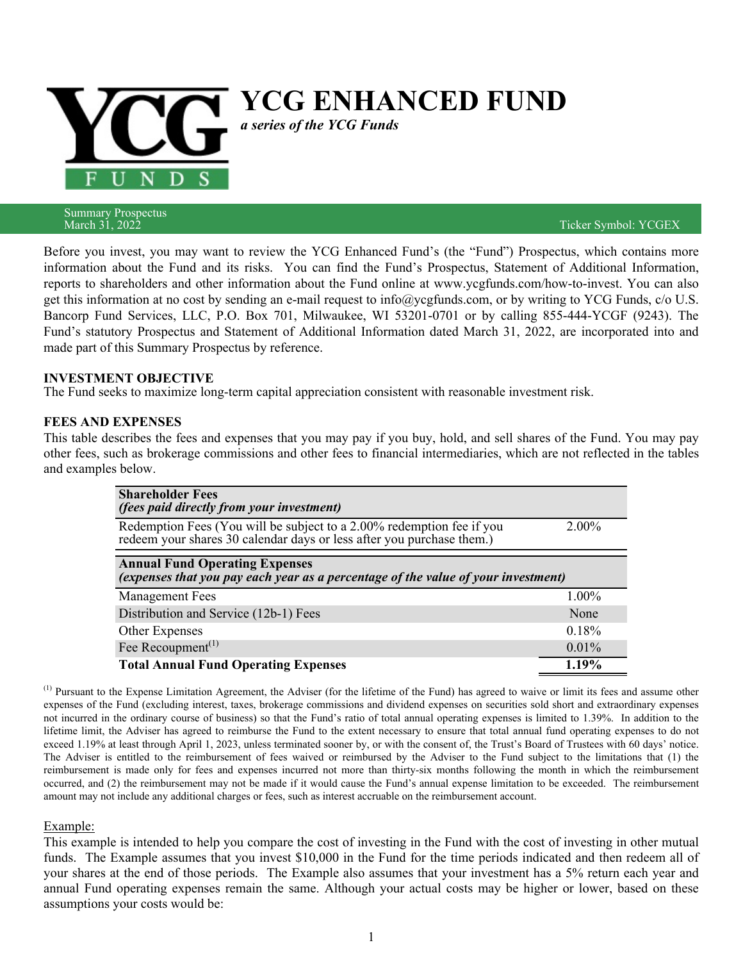

Summary Prospectus<br>March 31, 2022

Ticker Symbol: YCGEX

Before you invest, you may want to review the YCG Enhanced Fund's (the "Fund") Prospectus, which contains more information about the Fund and its risks. You can find the Fund's Prospectus, Statement of Additional Information, reports to shareholders and other information about the Fund online at www.ycgfunds.com/how-to-invest. You can also get this information at no cost by sending an e-mail request to info@ycgfunds.com, or by writing to YCG Funds, c/o U.S. Bancorp Fund Services, LLC, P.O. Box 701, Milwaukee, WI 53201-0701 or by calling 855-444-YCGF (9243). The Fund's statutory Prospectus and Statement of Additional Information dated March 31, 2022, are incorporated into and made part of this Summary Prospectus by reference.

#### **INVESTMENT OBJECTIVE**

The Fund seeks to maximize long-term capital appreciation consistent with reasonable investment risk.

#### **FEES AND EXPENSES**

This table describes the fees and expenses that you may pay if you buy, hold, and sell shares of the Fund. You may pay other fees, such as brokerage commissions and other fees to financial intermediaries, which are not reflected in the tables and examples below.

| <b>Shareholder Fees</b><br><i>(fees paid directly from your investment)</i>                                                                    |          |  |  |  |
|------------------------------------------------------------------------------------------------------------------------------------------------|----------|--|--|--|
| Redemption Fees (You will be subject to a 2.00% redemption fee if you<br>redeem your shares 30 calendar days or less after you purchase them.) | $2.00\%$ |  |  |  |
| <b>Annual Fund Operating Expenses</b><br>(expenses that you pay each year as a percentage of the value of your investment)                     |          |  |  |  |
| <b>Management Fees</b>                                                                                                                         | $1.00\%$ |  |  |  |
| Distribution and Service (12b-1) Fees                                                                                                          | None     |  |  |  |
| Other Expenses                                                                                                                                 | 0.18%    |  |  |  |
| Fee Recoupment <sup><math>(1)</math></sup>                                                                                                     | 0.01%    |  |  |  |
| <b>Total Annual Fund Operating Expenses</b>                                                                                                    | 1.19%    |  |  |  |

<sup>(1)</sup> Pursuant to the Expense Limitation Agreement, the Adviser (for the lifetime of the Fund) has agreed to waive or limit its fees and assume other expenses of the Fund (excluding interest, taxes, brokerage commissions and dividend expenses on securities sold short and extraordinary expenses not incurred in the ordinary course of business) so that the Fund's ratio of total annual operating expenses is limited to 1.39%. In addition to the lifetime limit, the Adviser has agreed to reimburse the Fund to the extent necessary to ensure that total annual fund operating expenses to do not exceed 1.19% at least through April 1, 2023, unless terminated sooner by, or with the consent of, the Trust's Board of Trustees with 60 days' notice. The Adviser is entitled to the reimbursement of fees waived or reimbursed by the Adviser to the Fund subject to the limitations that (1) the reimbursement is made only for fees and expenses incurred not more than thirty-six months following the month in which the reimbursement occurred, and (2) the reimbursement may not be made if it would cause the Fund's annual expense limitation to be exceeded. The reimbursement amount may not include any additional charges or fees, such as interest accruable on the reimbursement account.

#### Example:

This example is intended to help you compare the cost of investing in the Fund with the cost of investing in other mutual funds. The Example assumes that you invest \$10,000 in the Fund for the time periods indicated and then redeem all of your shares at the end of those periods. The Example also assumes that your investment has a 5% return each year and annual Fund operating expenses remain the same. Although your actual costs may be higher or lower, based on these assumptions your costs would be: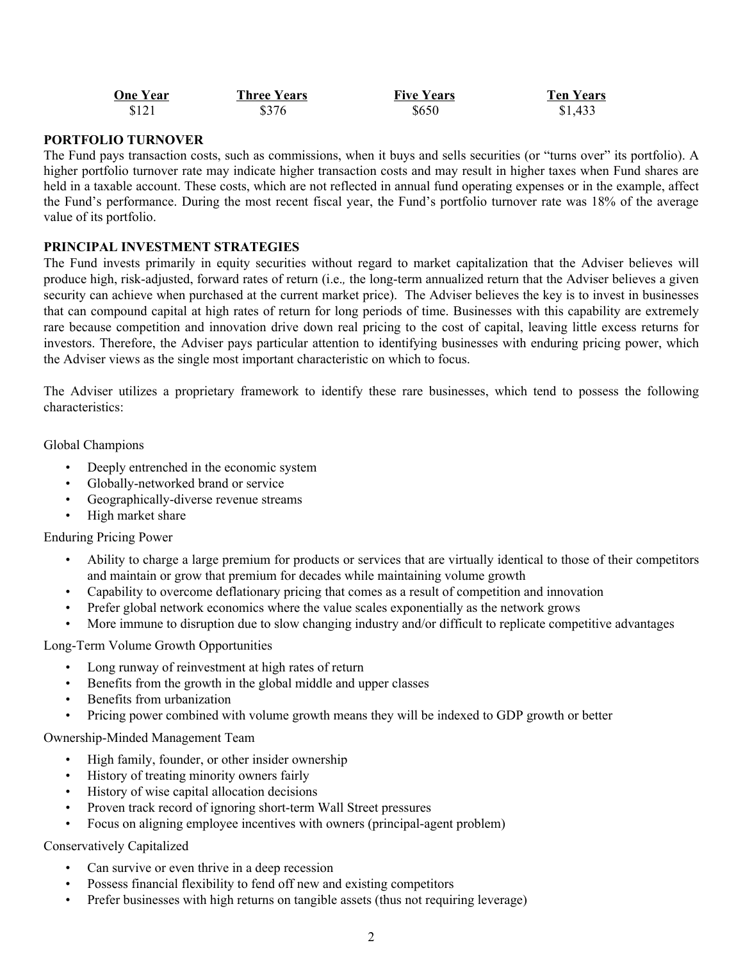| <b>One Year</b> | <b>Three Years</b> | <b>Five Years</b> | <b>Ten Years</b> |
|-----------------|--------------------|-------------------|------------------|
| \$121           | \$376              | \$650             | \$1,433          |

# **PORTFOLIO TURNOVER**

The Fund pays transaction costs, such as commissions, when it buys and sells securities (or "turns over" its portfolio). A higher portfolio turnover rate may indicate higher transaction costs and may result in higher taxes when Fund shares are held in a taxable account. These costs, which are not reflected in annual fund operating expenses or in the example, affect the Fund's performance. During the most recent fiscal year, the Fund's portfolio turnover rate was 18% of the average value of its portfolio.

### **PRINCIPAL INVESTMENT STRATEGIES**

The Fund invests primarily in equity securities without regard to market capitalization that the Adviser believes will produce high, risk-adjusted, forward rates of return (i.e.*,* the long-term annualized return that the Adviser believes a given security can achieve when purchased at the current market price). The Adviser believes the key is to invest in businesses that can compound capital at high rates of return for long periods of time. Businesses with this capability are extremely rare because competition and innovation drive down real pricing to the cost of capital, leaving little excess returns for investors. Therefore, the Adviser pays particular attention to identifying businesses with enduring pricing power, which the Adviser views as the single most important characteristic on which to focus.

The Adviser utilizes a proprietary framework to identify these rare businesses, which tend to possess the following characteristics:

Global Champions

- Deeply entrenched in the economic system
- Globally-networked brand or service
- Geographically-diverse revenue streams
- High market share

Enduring Pricing Power

- Ability to charge a large premium for products or services that are virtually identical to those of their competitors and maintain or grow that premium for decades while maintaining volume growth
- Capability to overcome deflationary pricing that comes as a result of competition and innovation
- Prefer global network economics where the value scales exponentially as the network grows
- More immune to disruption due to slow changing industry and/or difficult to replicate competitive advantages

Long-Term Volume Growth Opportunities

- Long runway of reinvestment at high rates of return
- Benefits from the growth in the global middle and upper classes
- Benefits from urbanization
- Pricing power combined with volume growth means they will be indexed to GDP growth or better

Ownership-Minded Management Team

- High family, founder, or other insider ownership
- History of treating minority owners fairly
- History of wise capital allocation decisions
- Proven track record of ignoring short-term Wall Street pressures
- Focus on aligning employee incentives with owners (principal-agent problem)

Conservatively Capitalized

- Can survive or even thrive in a deep recession
- Possess financial flexibility to fend off new and existing competitors
- Prefer businesses with high returns on tangible assets (thus not requiring leverage)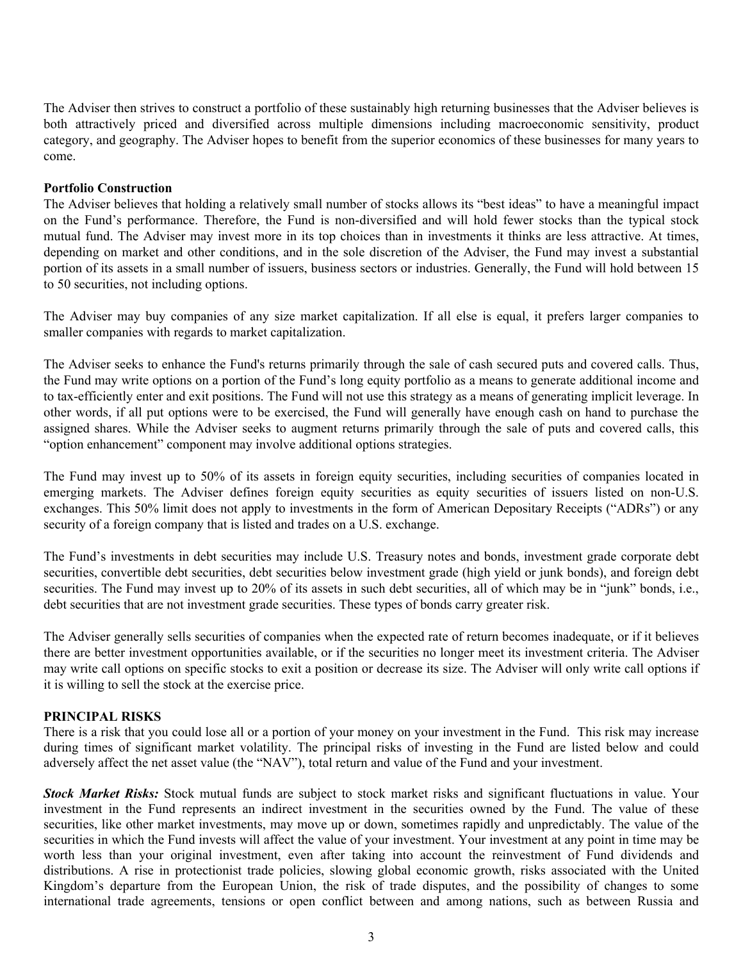The Adviser then strives to construct a portfolio of these sustainably high returning businesses that the Adviser believes is both attractively priced and diversified across multiple dimensions including macroeconomic sensitivity, product category, and geography. The Adviser hopes to benefit from the superior economics of these businesses for many years to come.

#### **Portfolio Construction**

The Adviser believes that holding a relatively small number of stocks allows its "best ideas" to have a meaningful impact on the Fund's performance. Therefore, the Fund is non-diversified and will hold fewer stocks than the typical stock mutual fund. The Adviser may invest more in its top choices than in investments it thinks are less attractive. At times, depending on market and other conditions, and in the sole discretion of the Adviser, the Fund may invest a substantial portion of its assets in a small number of issuers, business sectors or industries. Generally, the Fund will hold between 15 to 50 securities, not including options.

The Adviser may buy companies of any size market capitalization. If all else is equal, it prefers larger companies to smaller companies with regards to market capitalization.

The Adviser seeks to enhance the Fund's returns primarily through the sale of cash secured puts and covered calls. Thus, the Fund may write options on a portion of the Fund's long equity portfolio as a means to generate additional income and to tax-efficiently enter and exit positions. The Fund will not use this strategy as a means of generating implicit leverage. In other words, if all put options were to be exercised, the Fund will generally have enough cash on hand to purchase the assigned shares. While the Adviser seeks to augment returns primarily through the sale of puts and covered calls, this "option enhancement" component may involve additional options strategies.

The Fund may invest up to 50% of its assets in foreign equity securities, including securities of companies located in emerging markets. The Adviser defines foreign equity securities as equity securities of issuers listed on non-U.S. exchanges. This 50% limit does not apply to investments in the form of American Depositary Receipts ("ADRs") or any security of a foreign company that is listed and trades on a U.S. exchange.

The Fund's investments in debt securities may include U.S. Treasury notes and bonds, investment grade corporate debt securities, convertible debt securities, debt securities below investment grade (high yield or junk bonds), and foreign debt securities. The Fund may invest up to 20% of its assets in such debt securities, all of which may be in "junk" bonds, i.e., debt securities that are not investment grade securities. These types of bonds carry greater risk.

The Adviser generally sells securities of companies when the expected rate of return becomes inadequate, or if it believes there are better investment opportunities available, or if the securities no longer meet its investment criteria. The Adviser may write call options on specific stocks to exit a position or decrease its size. The Adviser will only write call options if it is willing to sell the stock at the exercise price.

### **PRINCIPAL RISKS**

There is a risk that you could lose all or a portion of your money on your investment in the Fund. This risk may increase during times of significant market volatility. The principal risks of investing in the Fund are listed below and could adversely affect the net asset value (the "NAV"), total return and value of the Fund and your investment.

*Stock Market Risks:* Stock mutual funds are subject to stock market risks and significant fluctuations in value. Your investment in the Fund represents an indirect investment in the securities owned by the Fund. The value of these securities, like other market investments, may move up or down, sometimes rapidly and unpredictably. The value of the securities in which the Fund invests will affect the value of your investment. Your investment at any point in time may be worth less than your original investment, even after taking into account the reinvestment of Fund dividends and distributions. A rise in protectionist trade policies, slowing global economic growth, risks associated with the United Kingdom's departure from the European Union, the risk of trade disputes, and the possibility of changes to some international trade agreements, tensions or open conflict between and among nations, such as between Russia and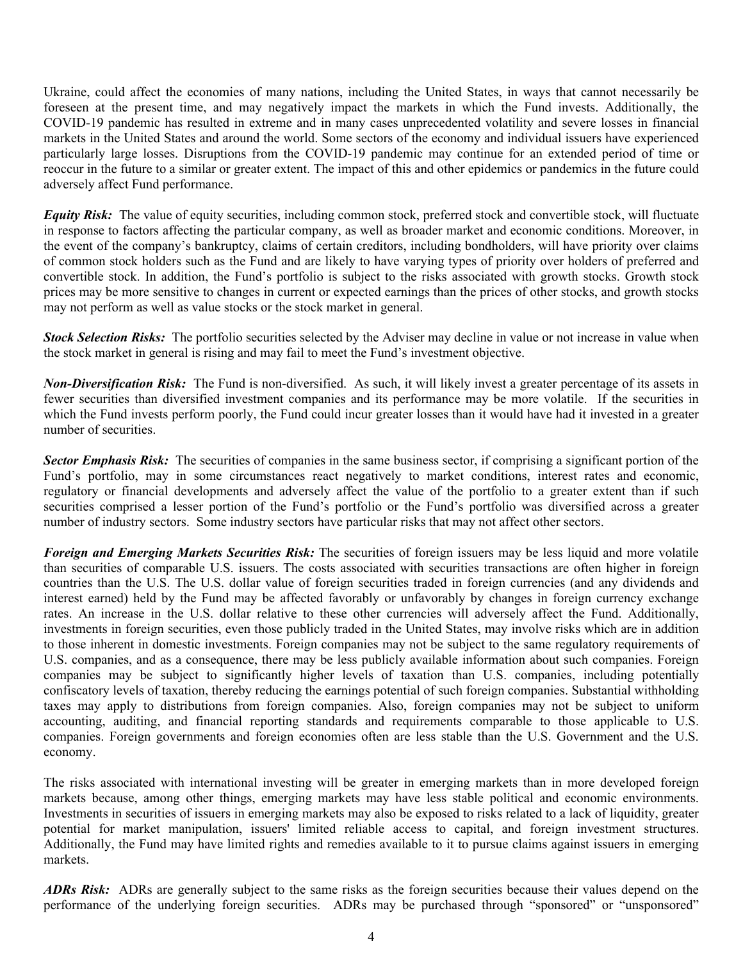Ukraine, could affect the economies of many nations, including the United States, in ways that cannot necessarily be foreseen at the present time, and may negatively impact the markets in which the Fund invests. Additionally, the COVID-19 pandemic has resulted in extreme and in many cases unprecedented volatility and severe losses in financial markets in the United States and around the world. Some sectors of the economy and individual issuers have experienced particularly large losses. Disruptions from the COVID-19 pandemic may continue for an extended period of time or reoccur in the future to a similar or greater extent. The impact of this and other epidemics or pandemics in the future could adversely affect Fund performance.

*Equity Risk:* The value of equity securities, including common stock, preferred stock and convertible stock, will fluctuate in response to factors affecting the particular company, as well as broader market and economic conditions. Moreover, in the event of the company's bankruptcy, claims of certain creditors, including bondholders, will have priority over claims of common stock holders such as the Fund and are likely to have varying types of priority over holders of preferred and convertible stock. In addition, the Fund's portfolio is subject to the risks associated with growth stocks. Growth stock prices may be more sensitive to changes in current or expected earnings than the prices of other stocks, and growth stocks may not perform as well as value stocks or the stock market in general.

*Stock Selection Risks:* The portfolio securities selected by the Adviser may decline in value or not increase in value when the stock market in general is rising and may fail to meet the Fund's investment objective.

*Non-Diversification Risk:* The Fund is non-diversified. As such, it will likely invest a greater percentage of its assets in fewer securities than diversified investment companies and its performance may be more volatile. If the securities in which the Fund invests perform poorly, the Fund could incur greater losses than it would have had it invested in a greater number of securities.

*Sector Emphasis Risk:* The securities of companies in the same business sector, if comprising a significant portion of the Fund's portfolio, may in some circumstances react negatively to market conditions, interest rates and economic, regulatory or financial developments and adversely affect the value of the portfolio to a greater extent than if such securities comprised a lesser portion of the Fund's portfolio or the Fund's portfolio was diversified across a greater number of industry sectors. Some industry sectors have particular risks that may not affect other sectors.

*Foreign and Emerging Markets Securities Risk:* The securities of foreign issuers may be less liquid and more volatile than securities of comparable U.S. issuers. The costs associated with securities transactions are often higher in foreign countries than the U.S. The U.S. dollar value of foreign securities traded in foreign currencies (and any dividends and interest earned) held by the Fund may be affected favorably or unfavorably by changes in foreign currency exchange rates. An increase in the U.S. dollar relative to these other currencies will adversely affect the Fund. Additionally, investments in foreign securities, even those publicly traded in the United States, may involve risks which are in addition to those inherent in domestic investments. Foreign companies may not be subject to the same regulatory requirements of U.S. companies, and as a consequence, there may be less publicly available information about such companies. Foreign companies may be subject to significantly higher levels of taxation than U.S. companies, including potentially confiscatory levels of taxation, thereby reducing the earnings potential of such foreign companies. Substantial withholding taxes may apply to distributions from foreign companies. Also, foreign companies may not be subject to uniform accounting, auditing, and financial reporting standards and requirements comparable to those applicable to U.S. companies. Foreign governments and foreign economies often are less stable than the U.S. Government and the U.S. economy.

The risks associated with international investing will be greater in emerging markets than in more developed foreign markets because, among other things, emerging markets may have less stable political and economic environments. Investments in securities of issuers in emerging markets may also be exposed to risks related to a lack of liquidity, greater potential for market manipulation, issuers' limited reliable access to capital, and foreign investment structures. Additionally, the Fund may have limited rights and remedies available to it to pursue claims against issuers in emerging markets.

*ADRs Risk:* ADRs are generally subject to the same risks as the foreign securities because their values depend on the performance of the underlying foreign securities. ADRs may be purchased through "sponsored" or "unsponsored"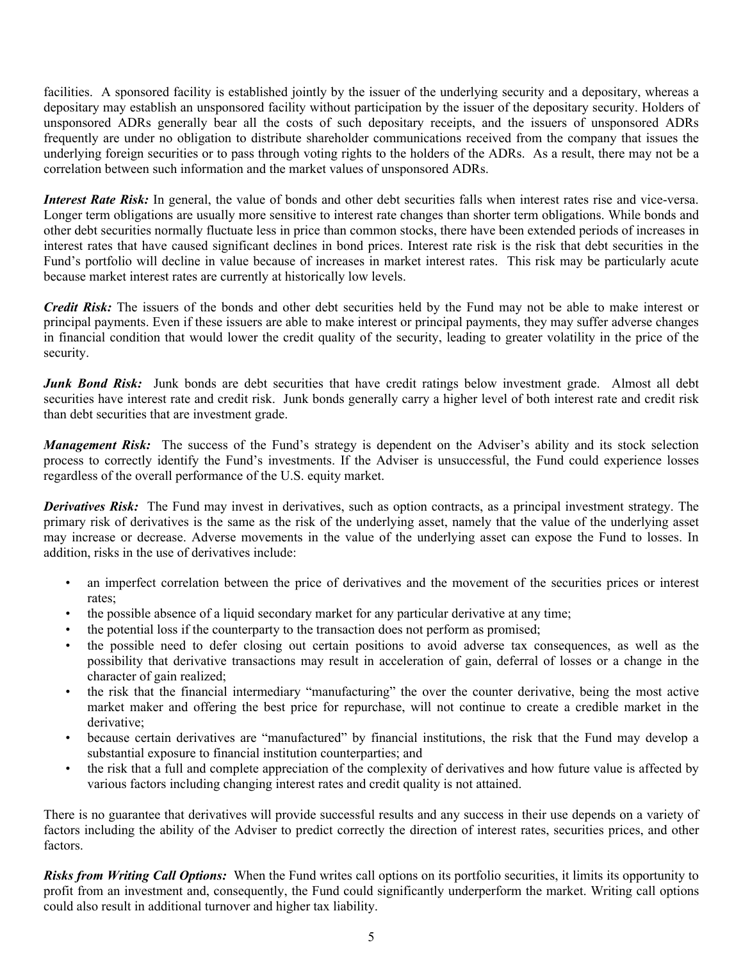facilities. A sponsored facility is established jointly by the issuer of the underlying security and a depositary, whereas a depositary may establish an unsponsored facility without participation by the issuer of the depositary security. Holders of unsponsored ADRs generally bear all the costs of such depositary receipts, and the issuers of unsponsored ADRs frequently are under no obligation to distribute shareholder communications received from the company that issues the underlying foreign securities or to pass through voting rights to the holders of the ADRs. As a result, there may not be a correlation between such information and the market values of unsponsored ADRs.

*Interest Rate Risk:* In general, the value of bonds and other debt securities falls when interest rates rise and vice-versa. Longer term obligations are usually more sensitive to interest rate changes than shorter term obligations. While bonds and other debt securities normally fluctuate less in price than common stocks, there have been extended periods of increases in interest rates that have caused significant declines in bond prices. Interest rate risk is the risk that debt securities in the Fund's portfolio will decline in value because of increases in market interest rates. This risk may be particularly acute because market interest rates are currently at historically low levels.

*Credit Risk:* The issuers of the bonds and other debt securities held by the Fund may not be able to make interest or principal payments. Even if these issuers are able to make interest or principal payments, they may suffer adverse changes in financial condition that would lower the credit quality of the security, leading to greater volatility in the price of the security.

*Junk Bond Risk:* Junk bonds are debt securities that have credit ratings below investment grade. Almost all debt securities have interest rate and credit risk. Junk bonds generally carry a higher level of both interest rate and credit risk than debt securities that are investment grade.

*Management Risk:* The success of the Fund's strategy is dependent on the Adviser's ability and its stock selection process to correctly identify the Fund's investments. If the Adviser is unsuccessful, the Fund could experience losses regardless of the overall performance of the U.S. equity market.

*Derivatives Risk:* The Fund may invest in derivatives, such as option contracts, as a principal investment strategy. The primary risk of derivatives is the same as the risk of the underlying asset, namely that the value of the underlying asset may increase or decrease. Adverse movements in the value of the underlying asset can expose the Fund to losses. In addition, risks in the use of derivatives include:

- an imperfect correlation between the price of derivatives and the movement of the securities prices or interest rates;
- the possible absence of a liquid secondary market for any particular derivative at any time;
- the potential loss if the counterparty to the transaction does not perform as promised;
- the possible need to defer closing out certain positions to avoid adverse tax consequences, as well as the possibility that derivative transactions may result in acceleration of gain, deferral of losses or a change in the character of gain realized;
- the risk that the financial intermediary "manufacturing" the over the counter derivative, being the most active market maker and offering the best price for repurchase, will not continue to create a credible market in the derivative;
- because certain derivatives are "manufactured" by financial institutions, the risk that the Fund may develop a substantial exposure to financial institution counterparties; and
- the risk that a full and complete appreciation of the complexity of derivatives and how future value is affected by various factors including changing interest rates and credit quality is not attained.

There is no guarantee that derivatives will provide successful results and any success in their use depends on a variety of factors including the ability of the Adviser to predict correctly the direction of interest rates, securities prices, and other factors.

*Risks from Writing Call Options:* When the Fund writes call options on its portfolio securities, it limits its opportunity to profit from an investment and, consequently, the Fund could significantly underperform the market. Writing call options could also result in additional turnover and higher tax liability.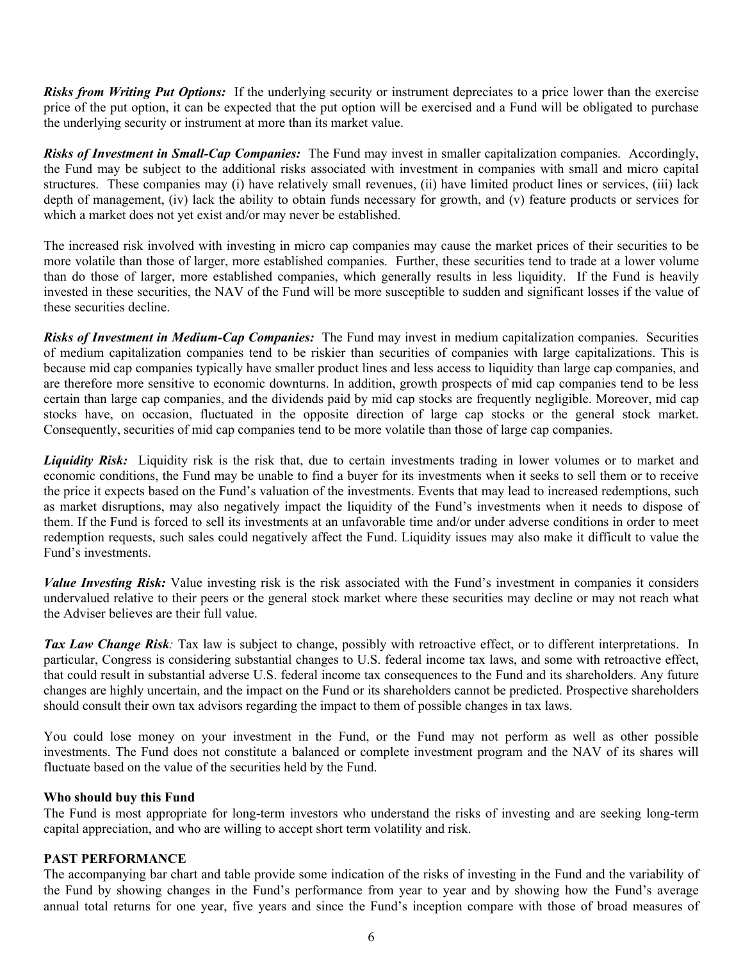*Risks from Writing Put Options:* If the underlying security or instrument depreciates to a price lower than the exercise price of the put option, it can be expected that the put option will be exercised and a Fund will be obligated to purchase the underlying security or instrument at more than its market value.

*Risks of Investment in Small-Cap Companies:* The Fund may invest in smaller capitalization companies. Accordingly, the Fund may be subject to the additional risks associated with investment in companies with small and micro capital structures. These companies may (i) have relatively small revenues, (ii) have limited product lines or services, (iii) lack depth of management, (iv) lack the ability to obtain funds necessary for growth, and  $\overline{v}$  feature products or services for which a market does not yet exist and/or may never be established.

The increased risk involved with investing in micro cap companies may cause the market prices of their securities to be more volatile than those of larger, more established companies. Further, these securities tend to trade at a lower volume than do those of larger, more established companies, which generally results in less liquidity. If the Fund is heavily invested in these securities, the NAV of the Fund will be more susceptible to sudden and significant losses if the value of these securities decline.

*Risks of Investment in Medium-Cap Companies:* The Fund may invest in medium capitalization companies. Securities of medium capitalization companies tend to be riskier than securities of companies with large capitalizations. This is because mid cap companies typically have smaller product lines and less access to liquidity than large cap companies, and are therefore more sensitive to economic downturns. In addition, growth prospects of mid cap companies tend to be less certain than large cap companies, and the dividends paid by mid cap stocks are frequently negligible. Moreover, mid cap stocks have, on occasion, fluctuated in the opposite direction of large cap stocks or the general stock market. Consequently, securities of mid cap companies tend to be more volatile than those of large cap companies.

*Liquidity Risk:* Liquidity risk is the risk that, due to certain investments trading in lower volumes or to market and economic conditions, the Fund may be unable to find a buyer for its investments when it seeks to sell them or to receive the price it expects based on the Fund's valuation of the investments. Events that may lead to increased redemptions, such as market disruptions, may also negatively impact the liquidity of the Fund's investments when it needs to dispose of them. If the Fund is forced to sell its investments at an unfavorable time and/or under adverse conditions in order to meet redemption requests, such sales could negatively affect the Fund. Liquidity issues may also make it difficult to value the Fund's investments.

*Value Investing Risk:* Value investing risk is the risk associated with the Fund's investment in companies it considers undervalued relative to their peers or the general stock market where these securities may decline or may not reach what the Adviser believes are their full value.

*Tax Law Change Risk:* Tax law is subject to change, possibly with retroactive effect, or to different interpretations. In particular, Congress is considering substantial changes to U.S. federal income tax laws, and some with retroactive effect, that could result in substantial adverse U.S. federal income tax consequences to the Fund and its shareholders. Any future changes are highly uncertain, and the impact on the Fund or its shareholders cannot be predicted. Prospective shareholders should consult their own tax advisors regarding the impact to them of possible changes in tax laws.

You could lose money on your investment in the Fund, or the Fund may not perform as well as other possible investments. The Fund does not constitute a balanced or complete investment program and the NAV of its shares will fluctuate based on the value of the securities held by the Fund.

### **Who should buy this Fund**

The Fund is most appropriate for long-term investors who understand the risks of investing and are seeking long-term capital appreciation, and who are willing to accept short term volatility and risk.

### **PAST PERFORMANCE**

The accompanying bar chart and table provide some indication of the risks of investing in the Fund and the variability of the Fund by showing changes in the Fund's performance from year to year and by showing how the Fund's average annual total returns for one year, five years and since the Fund's inception compare with those of broad measures of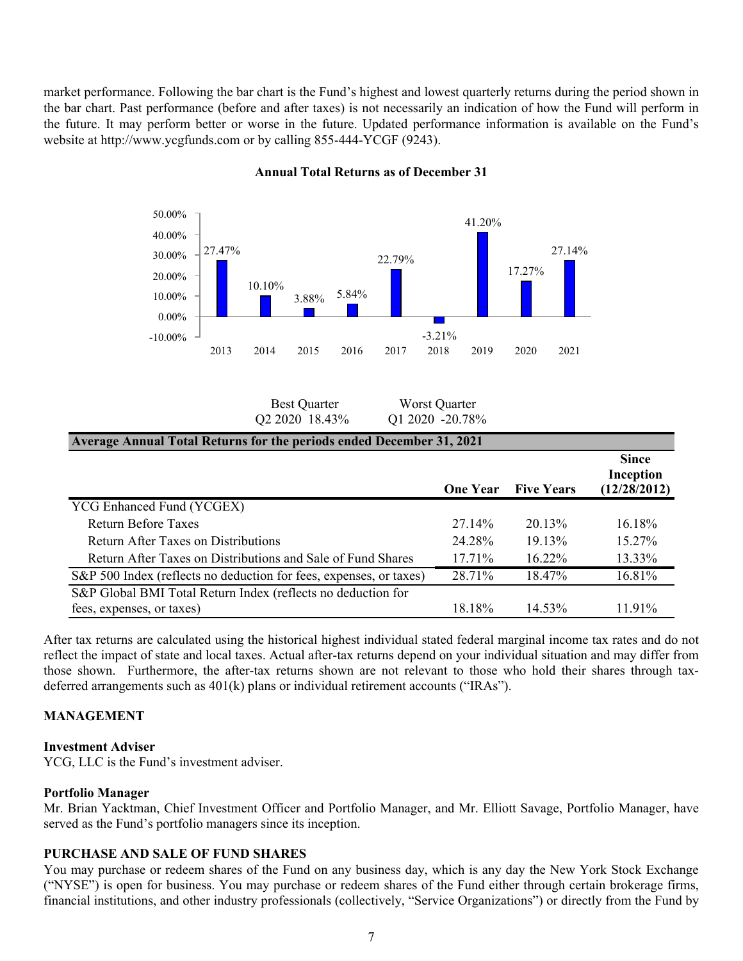market performance. Following the bar chart is the Fund's highest and lowest quarterly returns during the period shown in the bar chart. Past performance (before and after taxes) is not necessarily an indication of how the Fund will perform in the future. It may perform better or worse in the future. Updated performance information is available on the Fund's website at http://www.ycgfunds.com or by calling 855-444-YCGF (9243).



#### **Annual Total Returns as of December 31**

| <b>Best Quarter</b> | Worst Quarter   |
|---------------------|-----------------|
| Q2 2020 18.43%      | Q1 2020 -20.78% |

| <b>Average Annual Total Returns for the periods ended December 31, 2021</b> |                 |                   |                                           |  |
|-----------------------------------------------------------------------------|-----------------|-------------------|-------------------------------------------|--|
|                                                                             | <b>One Year</b> | <b>Five Years</b> | <b>Since</b><br>Inception<br>(12/28/2012) |  |
| YCG Enhanced Fund (YCGEX)                                                   |                 |                   |                                           |  |
| <b>Return Before Taxes</b>                                                  | 27.14%          | $20.13\%$         | 16.18%                                    |  |
| Return After Taxes on Distributions                                         | 24.28%          | 19.13%            | 15.27%                                    |  |
| Return After Taxes on Distributions and Sale of Fund Shares                 | $17.71\%$       | $16.22\%$         | 13.33%                                    |  |
| S&P 500 Index (reflects no deduction for fees, expenses, or taxes)          | 28.71%          | 18.47%            | 16.81%                                    |  |
| S&P Global BMI Total Return Index (reflects no deduction for                |                 |                   |                                           |  |
| fees, expenses, or taxes)                                                   | 18.18%          | 14.53%            | $11.91\%$                                 |  |

After tax returns are calculated using the historical highest individual stated federal marginal income tax rates and do not reflect the impact of state and local taxes. Actual after-tax returns depend on your individual situation and may differ from those shown. Furthermore, the after-tax returns shown are not relevant to those who hold their shares through taxdeferred arrangements such as 401(k) plans or individual retirement accounts ("IRAs").

# **MANAGEMENT**

#### **Investment Adviser**

YCG, LLC is the Fund's investment adviser.

#### **Portfolio Manager**

Mr. Brian Yacktman, Chief Investment Officer and Portfolio Manager, and Mr. Elliott Savage, Portfolio Manager, have served as the Fund's portfolio managers since its inception.

#### **PURCHASE AND SALE OF FUND SHARES**

You may purchase or redeem shares of the Fund on any business day, which is any day the New York Stock Exchange ("NYSE") is open for business. You may purchase or redeem shares of the Fund either through certain brokerage firms, financial institutions, and other industry professionals (collectively, "Service Organizations") or directly from the Fund by